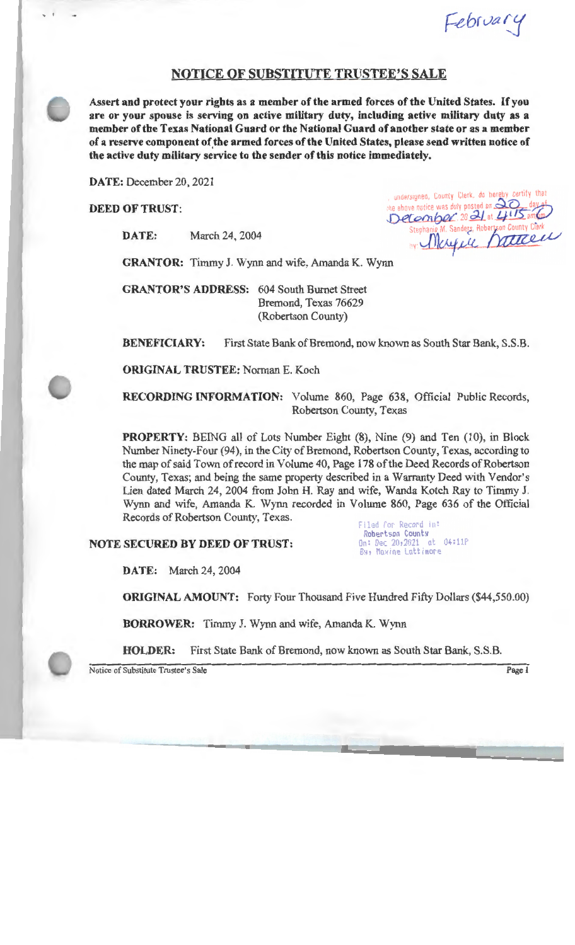February

## **NOTICE OF SUBSTITUTE TRUSTEE'S SALE**

**Assert and protect your rights as a member of the armed forces of the United States.** If you **are or your spouse is serving on active military duty, including active military duty as a member of the Texas National Guard or the National Guard of another state or as a member of a reserve component of.the armed forces of the United States, please send written notice of the active duty military service to the sender of this notice immediately.** 

**DATE:** December 20, 2021

**DEED OF TRUST:** 

**DATE:** March 24, 2004

undersigned, County Clerk, do hereby certify that the above notice was duly posted on  $\Im{\cal C}$ December 20 21 at 415 am Combot, 20 21 at 0115 am/hm/<br>Stephanie M. Sanders, Robertson County Clerk<br>M Finance was duly posted on 20 day of<br>
Comber, 20 21 at 2115 am Company<br>
Itephanie M. Sanders, Robertson County Clerk<br>
W. Marquie Mattel

**GRANTOR:** Timmy J. Wynn and wife, Amanda K. Wynn

**GRANTOR'S ADDRESS:** 604 South Burnet Street Bremond, Texas 76629 (Robertson County)

**BENEFICIARY:** First State Bank of Bremond, now known as South Star Bank, S.S.B.

**ORIGINAL TRUSTEE:** Norman E. Koch

**RECORDING INFORMATION:** Volume 860, Page 638, Official Public Records, Robertson County, Texas

**PROPERTY:** BEING all of Lots Number Eight (8), Nine (9) and Ten (10), in Block Number Ninety-Four (94), in the City of Bremond, Robertson County, Texas, according to the map of said Town ofrecord in Volume 40, Page 178 of the Deed Records of Robertson County, Texas; and being the same property described in a Warranty Deed with Vendor's Lien dated March 24, 2004 from John H. Ray and wife, Wanda Kotch Ray to Timmy J. Wynn and wife, Amanda K. Wynn recorded in Volume 860, Page 636 of the Official Records of Robertson County, Texas.

## **NOTE SECURED BY DEED OF TRUST:**

Filed for Record in: Robertson Counts<br>\n: Dec 20,2021 at 04:11P  $On: Dec 20, 2021$ By, Maxine Lattimore

**DATE:** March 24, 2004

**ORIGINAL AMOUNT:** Forty Four Thousand Five Hundred Fifty Dollars (\$44,550.00)

**BORROWER:** Timmy J. Wynn and wife, Amanda K. Wynn

**HOLDER:** First State Bank of Bremond, now known as South Star Bank, S.S.B.

Notice of Substitute Trustee's Sale Page 1